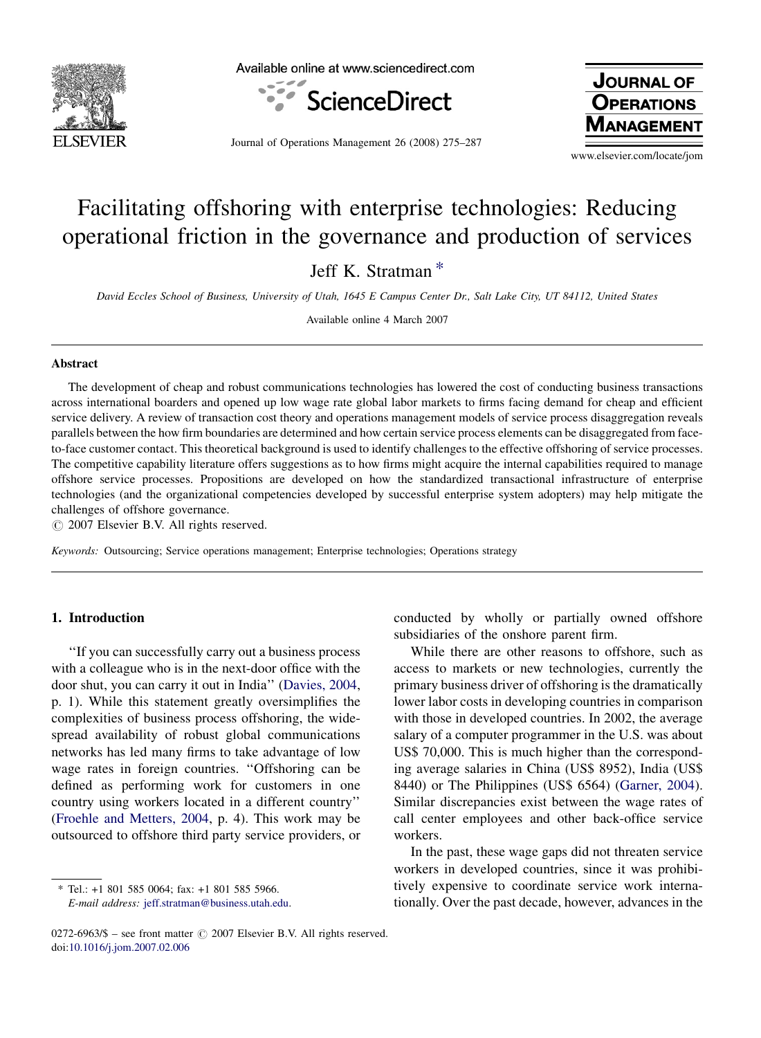

Available online at www.sciencedirect.com



Journal of Operations Management 26 (2008) 275–287

**JOURNAL OF OPERATIONS NAGEMENT** 

www.elsevier.com/locate/jom

# Facilitating offshoring with enterprise technologies: Reducing operational friction in the governance and production of services

Jeff K. Stratman \*

David Eccles School of Business, University of Utah, 1645 E Campus Center Dr., Salt Lake City, UT 84112, United States

Available online 4 March 2007

#### Abstract

The development of cheap and robust communications technologies has lowered the cost of conducting business transactions across international boarders and opened up low wage rate global labor markets to firms facing demand for cheap and efficient service delivery. A review of transaction cost theory and operations management models of service process disaggregation reveals parallels between the how firm boundaries are determined and how certain service process elements can be disaggregated from faceto-face customer contact. This theoretical background is used to identify challenges to the effective offshoring of service processes. The competitive capability literature offers suggestions as to how firms might acquire the internal capabilities required to manage offshore service processes. Propositions are developed on how the standardized transactional infrastructure of enterprise technologies (and the organizational competencies developed by successful enterprise system adopters) may help mitigate the challenges of offshore governance.

 $\odot$  2007 Elsevier B.V. All rights reserved.

Keywords: Outsourcing; Service operations management; Enterprise technologies; Operations strategy

#### 1. Introduction

''If you can successfully carry out a business process with a colleague who is in the next-door office with the door shut, you can carry it out in India'' ([Davies, 2004,](#page--1-0) p. 1). While this statement greatly oversimplifies the complexities of business process offshoring, the widespread availability of robust global communications networks has led many firms to take advantage of low wage rates in foreign countries. ''Offshoring can be defined as performing work for customers in one country using workers located in a different country'' [\(Froehle and Metters, 2004,](#page--1-0) p. 4). This work may be outsourced to offshore third party service providers, or

\* Tel.: +1 801 585 0064; fax: +1 801 585 5966.

conducted by wholly or partially owned offshore subsidiaries of the onshore parent firm.

While there are other reasons to offshore, such as access to markets or new technologies, currently the primary business driver of offshoring is the dramatically lower labor costs in developing countries in comparison with those in developed countries. In 2002, the average salary of a computer programmer in the U.S. was about US\$ 70,000. This is much higher than the corresponding average salaries in China (US\$ 8952), India (US\$ 8440) or The Philippines (US\$ 6564) ([Garner, 2004](#page--1-0)). Similar discrepancies exist between the wage rates of call center employees and other back-office service workers.

In the past, these wage gaps did not threaten service workers in developed countries, since it was prohibitively expensive to coordinate service work internationally. Over the past decade, however, advances in the

E-mail address: [jeff.stratman@business.utah.edu.](mailto:jeff.stratman@business.utah.edu)

 $0272-6963/\$$  – see front matter  $\odot$  2007 Elsevier B.V. All rights reserved. doi[:10.1016/j.jom.2007.02.006](http://dx.doi.org/10.1016/j.jom.2007.02.006)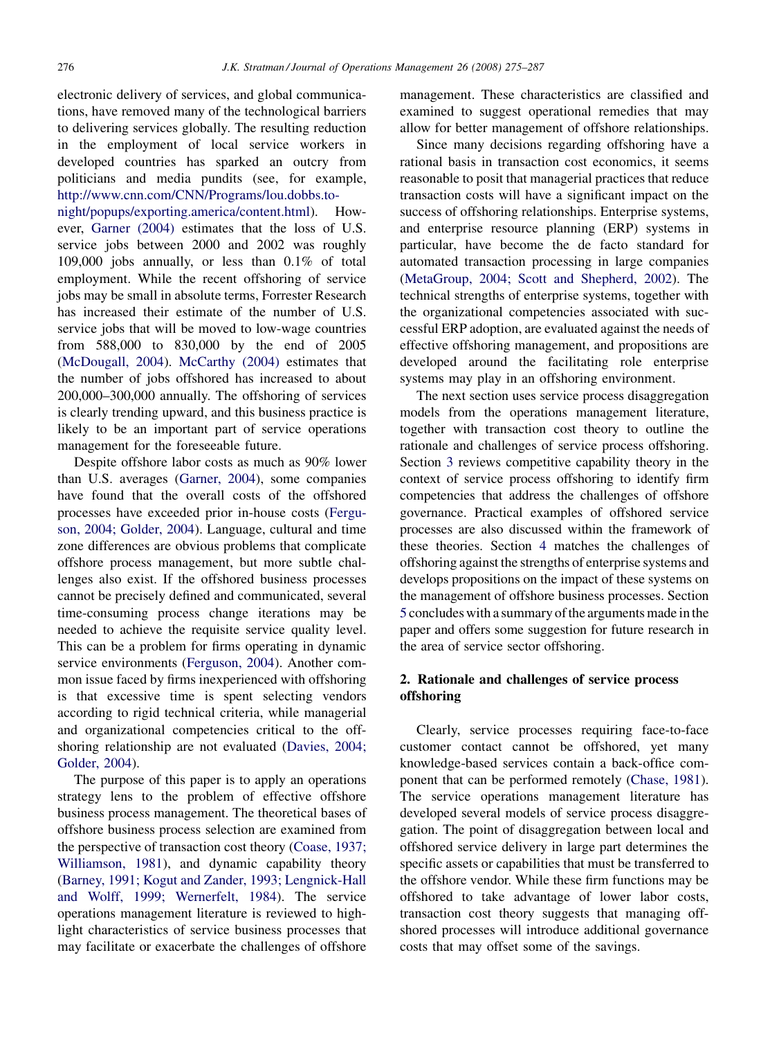electronic delivery of services, and global communications, have removed many of the technological barriers to delivering services globally. The resulting reduction in the employment of local service workers in developed countries has sparked an outcry from politicians and media pundits (see, for example, [http://www.cnn.com/CNN/Programs/lou.dobbs.to-](http://www.cnn.com/CNN/Programs/lou.dobbs.tonight/popups/exporting.america/content.html)

[night/popups/exporting.america/content.html\)](http://www.cnn.com/CNN/Programs/lou.dobbs.tonight/popups/exporting.america/content.html). However, [Garner \(2004\)](#page--1-0) estimates that the loss of U.S. service jobs between 2000 and 2002 was roughly 109,000 jobs annually, or less than 0.1% of total employment. While the recent offshoring of service jobs may be small in absolute terms, Forrester Research has increased their estimate of the number of U.S. service jobs that will be moved to low-wage countries from 588,000 to 830,000 by the end of 2005 [\(McDougall, 2004](#page--1-0)). [McCarthy \(2004\)](#page--1-0) estimates that the number of jobs offshored has increased to about 200,000–300,000 annually. The offshoring of services is clearly trending upward, and this business practice is likely to be an important part of service operations management for the foreseeable future.

Despite offshore labor costs as much as 90% lower than U.S. averages [\(Garner, 2004](#page--1-0)), some companies have found that the overall costs of the offshored processes have exceeded prior in-house costs ([Fergu](#page--1-0)[son, 2004; Golder, 2004](#page--1-0)). Language, cultural and time zone differences are obvious problems that complicate offshore process management, but more subtle challenges also exist. If the offshored business processes cannot be precisely defined and communicated, several time-consuming process change iterations may be needed to achieve the requisite service quality level. This can be a problem for firms operating in dynamic service environments ([Ferguson, 2004](#page--1-0)). Another common issue faced by firms inexperienced with offshoring is that excessive time is spent selecting vendors according to rigid technical criteria, while managerial and organizational competencies critical to the offshoring relationship are not evaluated [\(Davies, 2004;](#page--1-0) [Golder, 2004](#page--1-0)).

The purpose of this paper is to apply an operations strategy lens to the problem of effective offshore business process management. The theoretical bases of offshore business process selection are examined from the perspective of transaction cost theory [\(Coase, 1937;](#page--1-0) [Williamson, 1981\)](#page--1-0), and dynamic capability theory [\(Barney, 1991; Kogut and Zander, 1993; Lengnick-Hall](#page--1-0) [and Wolff, 1999; Wernerfelt, 1984](#page--1-0)). The service operations management literature is reviewed to highlight characteristics of service business processes that may facilitate or exacerbate the challenges of offshore

management. These characteristics are classified and examined to suggest operational remedies that may allow for better management of offshore relationships.

Since many decisions regarding offshoring have a rational basis in transaction cost economics, it seems reasonable to posit that managerial practices that reduce transaction costs will have a significant impact on the success of offshoring relationships. Enterprise systems, and enterprise resource planning (ERP) systems in particular, have become the de facto standard for automated transaction processing in large companies ([MetaGroup, 2004; Scott and Shepherd, 2002\)](#page--1-0). The technical strengths of enterprise systems, together with the organizational competencies associated with successful ERP adoption, are evaluated against the needs of effective offshoring management, and propositions are developed around the facilitating role enterprise systems may play in an offshoring environment.

The next section uses service process disaggregation models from the operations management literature, together with transaction cost theory to outline the rationale and challenges of service process offshoring. Section [3](#page--1-0) reviews competitive capability theory in the context of service process offshoring to identify firm competencies that address the challenges of offshore governance. Practical examples of offshored service processes are also discussed within the framework of these theories. Section [4](#page--1-0) matches the challenges of offshoring against the strengths of enterprise systems and develops propositions on the impact of these systems on the management of offshore business processes. Section [5](#page--1-0) concludes with a summary of the arguments made in the paper and offers some suggestion for future research in the area of service sector offshoring.

### 2. Rationale and challenges of service process offshoring

Clearly, service processes requiring face-to-face customer contact cannot be offshored, yet many knowledge-based services contain a back-office component that can be performed remotely ([Chase, 1981\)](#page--1-0). The service operations management literature has developed several models of service process disaggregation. The point of disaggregation between local and offshored service delivery in large part determines the specific assets or capabilities that must be transferred to the offshore vendor. While these firm functions may be offshored to take advantage of lower labor costs, transaction cost theory suggests that managing offshored processes will introduce additional governance costs that may offset some of the savings.